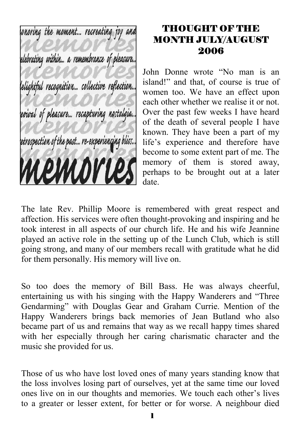onoring the moment... recreating joy and elebrating within... a remembrance of pleasure... lelightful recognition... collective reflection... evival of pleasure... recapturing nostalgia... etrospection of the past... re-experiencing bliss... LEMOYLE

## THOUGHT OF THE MONTH JULY/AUGUST 2006

John Donne wrote "No man is an island!" and that, of course is true of women too. We have an effect upon each other whether we realise it or not. Over the past few weeks I have heard of the death of several people I have known. They have been a part of my life's experience and therefore have become to some extent part of me. The memory of them is stored away, perhaps to be brought out at a later date.

The late Rev. Phillip Moore is remembered with great respect and affection. His services were often thought-provoking and inspiring and he took interest in all aspects of our church life. He and his wife Jeannine played an active role in the setting up of the Lunch Club, which is still going strong, and many of our members recall with gratitude what he did for them personally. His memory will live on.

So too does the memory of Bill Bass. He was always cheerful, entertaining us with his singing with the Happy Wanderers and "Three Gendarming" with Douglas Gear and Graham Currie. Mention of the Happy Wanderers brings back memories of Jean Butland who also became part of us and remains that way as we recall happy times shared with her especially through her caring charismatic character and the music she provided for us.

Those of us who have lost loved ones of many years standing know that the loss involves losing part of ourselves, yet at the same time our loved ones live on in our thoughts and memories. We touch each other's lives to a greater or lesser extent, for better or for worse. A neighbour died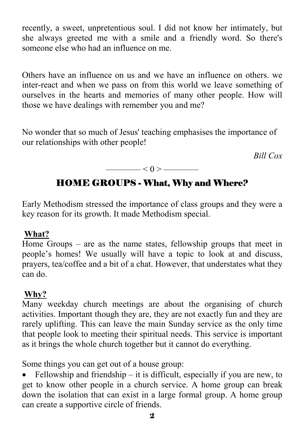recently, a sweet, unpretentious soul. I did not know her intimately, but she always greeted me with a smile and a friendly word. So there's someone else who had an influence on me.

Others have an influence on us and we have an influence on others. we inter-react and when we pass on from this world we leave something of ourselves in the hearts and memories of many other people. How will those we have dealings with remember you and me?

No wonder that so much of Jesus' teaching emphasises the importance of our relationships with other people!

*Bill Cox* 

## $<\hspace{-2.5mm}0\hspace{-2.5mm}>\hspace{2.5mm}-$ HOME GROUPS - What, Why and Where?

Early Methodism stressed the importance of class groups and they were a key reason for its growth. It made Methodism special.

#### **What?**

Home Groups – are as the name states, fellowship groups that meet in people's homes! We usually will have a topic to look at and discuss, prayers, tea/coffee and a bit of a chat. However, that understates what they can do.

#### **Why?**

Many weekday church meetings are about the organising of church activities. Important though they are, they are not exactly fun and they are rarely uplifting. This can leave the main Sunday service as the only time that people look to meeting their spiritual needs. This service is important as it brings the whole church together but it cannot do everything.

Some things you can get out of a house group:

• Fellowship and friendship – it is difficult, especially if you are new, to get to know other people in a church service. A home group can break down the isolation that can exist in a large formal group. A home group can create a supportive circle of friends.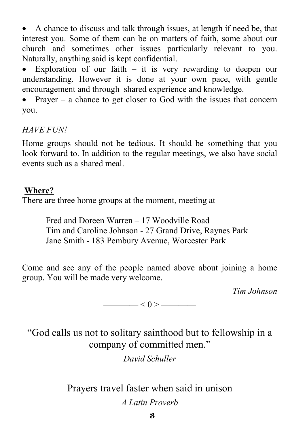• A chance to discuss and talk through issues, at length if need be, that interest you. Some of them can be on matters of faith, some about our church and sometimes other issues particularly relevant to you. Naturally, anything said is kept confidential.

• Exploration of our faith – it is very rewarding to deepen our understanding. However it is done at your own pace, with gentle encouragement and through shared experience and knowledge.

• Prayer – a chance to get closer to God with the issues that concern you.

*HAVE FUN!* 

Home groups should not be tedious. It should be something that you look forward to. In addition to the regular meetings, we also have social events such as a shared meal.

#### **Where?**

There are three home groups at the moment, meeting at

 Fred and Doreen Warren – 17 Woodville Road Tim and Caroline Johnson - 27 Grand Drive, Raynes Park Jane Smith - 183 Pembury Avenue, Worcester Park

Come and see any of the people named above about joining a home group. You will be made very welcome.

*Tim Johnson* 

 $\leq 0$  >  $\leq$ 

"God calls us not to solitary sainthood but to fellowship in a company of committed men."

*David Schuller* 

## Prayers travel faster when said in unison *A Latin Proverb*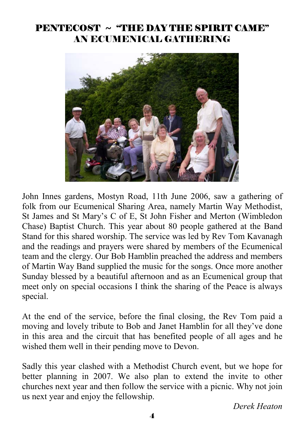## PENTECOST ~ "THE DAY THE SPIRIT CAME" AN ECUMENICAL GATHERING



John Innes gardens, Mostyn Road, 11th June 2006, saw a gathering of folk from our Ecumenical Sharing Area, namely Martin Way Methodist, St James and St Mary's C of E, St John Fisher and Merton (Wimbledon Chase) Baptist Church. This year about 80 people gathered at the Band Stand for this shared worship. The service was led by Rev Tom Kavanagh and the readings and prayers were shared by members of the Ecumenical team and the clergy. Our Bob Hamblin preached the address and members of Martin Way Band supplied the music for the songs. Once more another Sunday blessed by a beautiful afternoon and as an Ecumenical group that meet only on special occasions I think the sharing of the Peace is always special.

At the end of the service, before the final closing, the Rev Tom paid a moving and lovely tribute to Bob and Janet Hamblin for all they've done in this area and the circuit that has benefited people of all ages and he wished them well in their pending move to Devon.

Sadly this year clashed with a Methodist Church event, but we hope for better planning in 2007. We also plan to extend the invite to other churches next year and then follow the service with a picnic. Why not join us next year and enjoy the fellowship.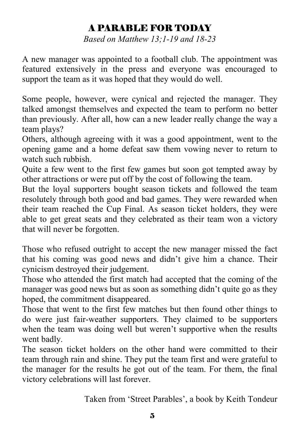## A PARABLE FOR TODAY

*Based on Matthew 13;1-19 and 18-23* 

A new manager was appointed to a football club. The appointment was featured extensively in the press and everyone was encouraged to support the team as it was hoped that they would do well.

Some people, however, were cynical and rejected the manager. They talked amongst themselves and expected the team to perform no better than previously. After all, how can a new leader really change the way a team plays?

Others, although agreeing with it was a good appointment, went to the opening game and a home defeat saw them vowing never to return to watch such rubbish.

Quite a few went to the first few games but soon got tempted away by other attractions or were put off by the cost of following the team.

But the loyal supporters bought season tickets and followed the team resolutely through both good and bad games. They were rewarded when their team reached the Cup Final. As season ticket holders, they were able to get great seats and they celebrated as their team won a victory that will never be forgotten.

Those who refused outright to accept the new manager missed the fact that his coming was good news and didn't give him a chance. Their cynicism destroyed their judgement.

Those who attended the first match had accepted that the coming of the manager was good news but as soon as something didn't quite go as they hoped, the commitment disappeared.

Those that went to the first few matches but then found other things to do were just fair-weather supporters. They claimed to be supporters when the team was doing well but weren't supportive when the results went badly.

The season ticket holders on the other hand were committed to their team through rain and shine. They put the team first and were grateful to the manager for the results he got out of the team. For them, the final victory celebrations will last forever.

Taken from 'Street Parables', a book by Keith Tondeur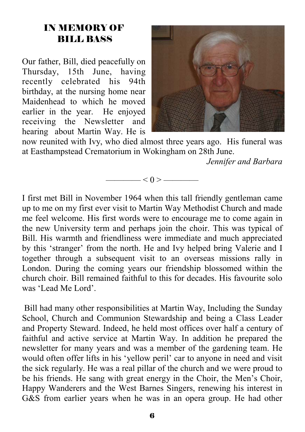#### IN MEMORY OF BILL BASS

Our father, Bill, died peacefully on Thursday, 15th June, having recently celebrated his 94th birthday, at the nursing home near Maidenhead to which he moved earlier in the year. He enjoyed receiving the Newsletter and hearing about Martin Way. He is



now reunited with Ivy, who died almost three years ago. His funeral was at Easthampstead Crematorium in Wokingham on 28th June.

*Jennifer and Barbara* 

 $- < 0 > -$ 

I first met Bill in November 1964 when this tall friendly gentleman came up to me on my first ever visit to Martin Way Methodist Church and made me feel welcome. His first words were to encourage me to come again in the new University term and perhaps join the choir. This was typical of Bill. His warmth and friendliness were immediate and much appreciated by this 'stranger' from the north. He and Ivy helped bring Valerie and I together through a subsequent visit to an overseas missions rally in London. During the coming years our friendship blossomed within the church choir. Bill remained faithful to this for decades. His favourite solo was 'Lead Me Lord'.

 Bill had many other responsibilities at Martin Way, Including the Sunday School, Church and Communion Stewardship and being a Class Leader and Property Steward. Indeed, he held most offices over half a century of faithful and active service at Martin Way. In addition he prepared the newsletter for many years and was a member of the gardening team. He would often offer lifts in his 'yellow peril' car to anyone in need and visit the sick regularly. He was a real pillar of the church and we were proud to be his friends. He sang with great energy in the Choir, the Men's Choir, Happy Wanderers and the West Barnes Singers, renewing his interest in G&S from earlier years when he was in an opera group. He had other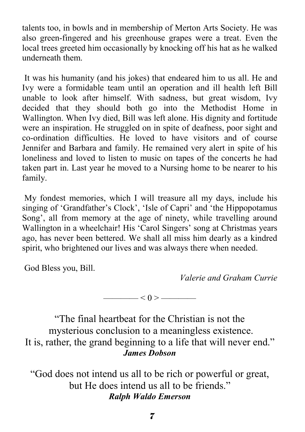talents too, in bowls and in membership of Merton Arts Society. He was also green-fingered and his greenhouse grapes were a treat. Even the local trees greeted him occasionally by knocking off his hat as he walked underneath them.

 It was his humanity (and his jokes) that endeared him to us all. He and Ivy were a formidable team until an operation and ill health left Bill unable to look after himself. With sadness, but great wisdom, Ivy decided that they should both go into the Methodist Home in Wallington. When Ivy died, Bill was left alone. His dignity and fortitude were an inspiration. He struggled on in spite of deafness, poor sight and co-ordination difficulties. He loved to have visitors and of course Jennifer and Barbara and family. He remained very alert in spite of his loneliness and loved to listen to music on tapes of the concerts he had taken part in. Last year he moved to a Nursing home to be nearer to his family.

 My fondest memories, which I will treasure all my days, include his singing of 'Grandfather's Clock', 'Isle of Capri' and 'the Hippopotamus Song', all from memory at the age of ninety, while travelling around Wallington in a wheelchair! His 'Carol Singers' song at Christmas years ago, has never been bettered. We shall all miss him dearly as a kindred spirit, who brightened our lives and was always there when needed.

God Bless you, Bill.

 *Valerie and Graham Currie* 

 $<$  0  $>$   $-$ 

"The final heartbeat for the Christian is not the mysterious conclusion to a meaningless existence. It is, rather, the grand beginning to a life that will never end." *James Dobson* 

"God does not intend us all to be rich or powerful or great, but He does intend us all to be friends." *Ralph Waldo Emerson*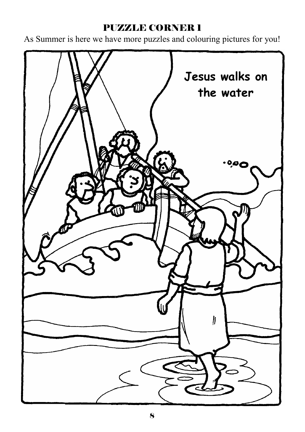### PUZZLE CORNER 1

As Summer is here we have more puzzles and colouring pictures for you!

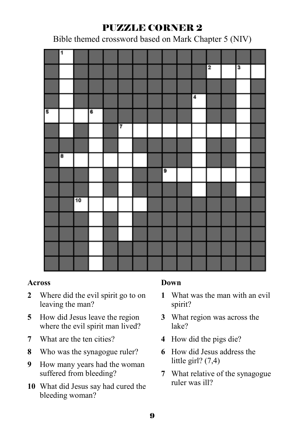## PUZZLE CORNER 2

Bible themed crossword based on Mark Chapter 5 (NIV)



#### **Across**

- **2** Where did the evil spirit go to on leaving the man?
- **5** How did Jesus leave the region where the evil spirit man lived?
- **7** What are the ten cities?
- **8** Who was the synagogue ruler?
- **9** How many years had the woman suffered from bleeding?
- **10** What did Jesus say had cured the bleeding woman?

#### **Down**

- **1** What was the man with an evil spirit?
- **3** What region was across the lake?
- **4** How did the pigs die?
- **6** How did Jesus address the little girl?  $(7,4)$
- **7** What relative of the synagogue ruler was ill?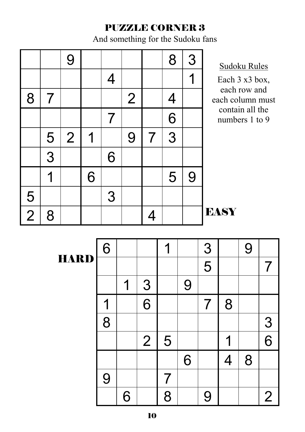## PUZZLE CORNER 3

And something for the Sudoku fans

|   |   |                |   |   |                | 8 | 3 | <b>Sudoku Rules</b>               |
|---|---|----------------|---|---|----------------|---|---|-----------------------------------|
|   |   |                |   |   |                |   |   | Each 3 x3 box,                    |
| 8 |   |                |   |   | $\overline{2}$ |   |   | each row and<br>each column must  |
|   |   |                |   |   |                | 6 |   | contain all the<br>numbers 1 to 9 |
|   | 5 | $\overline{2}$ |   |   | 9              | 3 |   |                                   |
|   | 3 |                |   | ჩ |                |   |   |                                   |
|   |   |                | 6 |   |                | 5 | 9 |                                   |
| 5 |   |                |   | 3 |                |   |   |                                   |
|   | Q |                |   |   |                |   |   | <b>EASY</b>                       |

|             | 6 |   |                | ↿ |   | 3              |   | 9 |                |
|-------------|---|---|----------------|---|---|----------------|---|---|----------------|
| <b>HARD</b> |   |   |                |   |   | 5              |   |   |                |
|             |   |   | 3              |   | 9 |                |   |   |                |
|             |   |   | 6              |   |   | $\overline{7}$ | 8 |   |                |
|             | 8 |   |                |   |   |                |   |   |                |
|             |   |   | $\overline{2}$ | 5 |   |                | ◀ |   | $\frac{3}{6}$  |
|             |   |   |                |   | 6 |                | 4 | 8 |                |
|             | 9 |   |                |   |   |                |   |   |                |
|             |   | 6 |                | 8 |   | 9              |   |   | 2 <sup>1</sup> |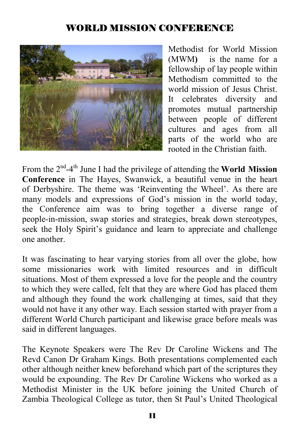#### WORLD MISSION CONFERENCE



Methodist for World Mission (MWM**)** is the name for a fellowship of lay people within Methodism committed to the world mission of Jesus Christ. It celebrates diversity and promotes mutual partnership between people of different cultures and ages from all parts of the world who are rooted in the Christian faith.

From the 2nd-4th June I had the privilege of attending the **World Mission Conference** in The Hayes, Swanwick, a beautiful venue in the heart of Derbyshire. The theme was 'Reinventing the Wheel'. As there are many models and expressions of God's mission in the world today, the Conference aim was to bring together a diverse range of people-in-mission, swap stories and strategies, break down stereotypes, seek the Holy Spirit's guidance and learn to appreciate and challenge one another.

It was fascinating to hear varying stories from all over the globe, how some missionaries work with limited resources and in difficult situations. Most of them expressed a love for the people and the country to which they were called, felt that they are where God has placed them and although they found the work challenging at times, said that they would not have it any other way. Each session started with prayer from a different World Church participant and likewise grace before meals was said in different languages.

The Keynote Speakers were The Rev Dr Caroline Wickens and The Revd Canon Dr Graham Kings. Both presentations complemented each other although neither knew beforehand which part of the scriptures they would be expounding. The Rev Dr Caroline Wickens who worked as a Methodist Minister in the UK before joining the United Church of Zambia Theological College as tutor, then St Paul's United Theological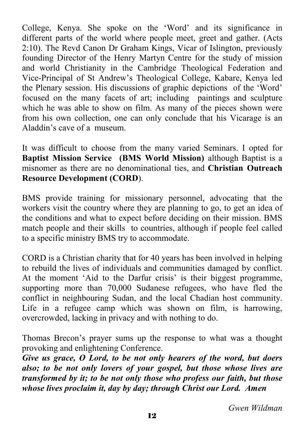College, Kenya. She spoke on the 'Word' and its significance in different parts of the world where people meet, greet and gather. (Acts 2:10). The Revd Canon Dr Graham Kings, Vicar of Islington, previously founding Director of the Henry Martyn Centre for the study of mission and world Christianity in the Cambridge Theological Federation and Vice-Principal of St Andrew's Theological College, Kabare, Kenya led the Plenary session. His discussions of graphic depictions of the 'Word' focused on the many facets of art; including paintings and sculpture which he was able to show on film. As many of the pieces shown were from his own collection, one can only conclude that his Vicarage is an Aladdin's cave of a museum.

It was difficult to choose from the many varied Seminars. I opted for **Baptist Mission Service (BMS World Mission)** although Baptist is a misnomer as there are no denominational ties, and **Christian Outreach Resource Development (CORD**).

BMS provide training for missionary personnel, advocating that the workers visit the country where they are planning to go, to get an idea of the conditions and what to expect before deciding on their mission. BMS match people and their skills to countries, although if people feel called to a specific ministry BMS try to accommodate.

CORD is a Christian charity that for 40 years has been involved in helping to rebuild the lives of individuals and communities damaged by conflict. At the moment 'Aid to the Darfur crisis' is their biggest programme, supporting more than 70,000 Sudanese refugees, who have fled the conflict in neighbouring Sudan, and the local Chadian host community. Life in a refugee camp which was shown on film, is harrowing, overcrowded, lacking in privacy and with nothing to do.

Thomas Brecon's prayer sums up the response to what was a thought provoking and enlightening Conference.

*Give us grace, O Lord, to be not only hearers of the word, but doers also; to be not only lovers of your gospel, but those whose lives are transformed by it; to be not only those who profess our faith, but those whose lives proclaim it, day by day; through Christ our Lord. Amen*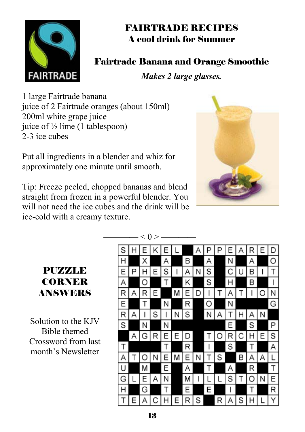

## FAIRTRADE RECIPES A cool drink for Summer

#### Fairtrade Banana and Orange Smoothie

*Makes 2 large glasses.* 

1 large Fairtrade banana juice of 2 Fairtrade oranges (about 150ml) 200ml white grape juice juice of ½ lime (1 tablespoon) 2-3 ice cubes

Put all ingredients in a blender and whiz for approximately one minute until smooth.

Tip: Freeze peeled, chopped bananas and blend straight from frozen in a powerful blender. You will not need the ice cubes and the drink will be ice-cold with a creamy texture.



## **PUZZZLE CORNER** ANSWERS

Solution to the KJV Bible themed Crossword from last month's Newsletter

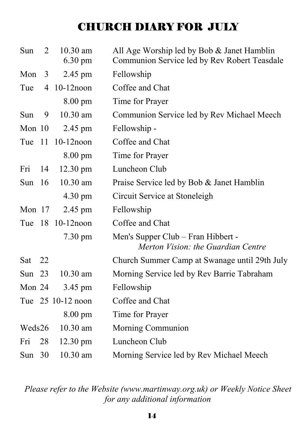# CHURCH DIARY FOR JULY

| Sun      | $\overline{2}$ | $10.30$ am<br>$6.30 \text{ pm}$ | All Age Worship led by Bob & Janet Hamblin<br>Communion Service led by Rev Robert Teasdale |
|----------|----------------|---------------------------------|--------------------------------------------------------------------------------------------|
| Mon      | 3              | 2.45 pm                         | Fellowship                                                                                 |
| Tue      |                | 4 10-12noon                     | Coffee and Chat                                                                            |
|          |                | $8.00 \text{ pm}$               | Time for Prayer                                                                            |
| Sun      | 9              | 10.30 am                        | Communion Service led by Rev Michael Meech                                                 |
| Mon 10   |                | 2.45 pm                         | Fellowship -                                                                               |
| Tue      | 11             | $10-12$ noon                    | Coffee and Chat                                                                            |
|          |                | 8.00 pm                         | Time for Prayer                                                                            |
| Fri      | 14             | $12.30 \text{ pm}$              | Luncheon Club                                                                              |
| Sun      | 16             | 10.30 am                        | Praise Service led by Bob & Janet Hamblin                                                  |
|          |                | $4.30 \text{ pm}$               | Circuit Service at Stoneleigh                                                              |
| Mon $17$ |                | 2.45 pm                         | Fellowship                                                                                 |
| Tue      | 18             | $10-12$ noon                    | Coffee and Chat                                                                            |
|          |                | 7.30 pm                         | Men's Supper Club – Fran Hibbert -<br>Merton Vision: the Guardian Centre                   |
| Sat      | 22             |                                 | Church Summer Camp at Swanage until 29th July                                              |
| Sun $23$ |                | 10.30 am                        | Morning Service led by Rev Barrie Tabraham                                                 |
| Mon 24   |                | 3.45 pm                         | Fellowship                                                                                 |
|          |                | Tue 25 10-12 noon               | Coffee and Chat                                                                            |
|          |                | $8.00 \text{ pm}$               | Time for Prayer                                                                            |
| Weds26   |                | 10.30 am                        | Morning Communion                                                                          |
| Fri      | 28             | $12.30 \text{ pm}$              | Luncheon Club                                                                              |
| Sun $30$ |                | $10.30$ am                      | Morning Service led by Rev Michael Meech                                                   |

*Please refer to the Website (www.martinway.org.uk) or Weekly Notice Sheet for any additional information*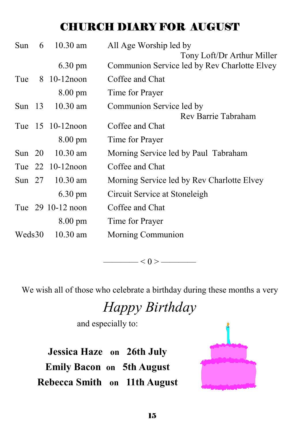# CHURCH DIARY FOR AUGUST

| Sun      | 6 | $10.30$ am        | All Age Worship led by                       |
|----------|---|-------------------|----------------------------------------------|
|          |   |                   | Tony Loft/Dr Arthur Miller                   |
|          |   | $6.30 \text{ pm}$ | Communion Service led by Rev Charlotte Elvey |
| Tue      |   | 8 10-12 noon      | Coffee and Chat                              |
|          |   | $8.00 \text{ pm}$ | Time for Prayer                              |
| Sun $13$ |   | $10.30$ am        | Communion Service led by                     |
|          |   |                   | Rev Barrie Tabraham                          |
|          |   | Tue 15 10-12 noon | Coffee and Chat                              |
|          |   | $8.00 \text{ pm}$ | Time for Prayer                              |
| Sun $20$ |   | 10.30 am          | Morning Service led by Paul Tabraham         |
|          |   | Tue 22 10-12 noon | Coffee and Chat                              |
| Sun $27$ |   | 10.30 am          | Morning Service led by Rev Charlotte Elvey   |
|          |   | $6.30 \text{ pm}$ | Circuit Service at Stoneleigh                |
|          |   | Tue 29 10-12 noon | Coffee and Chat                              |
|          |   | 8.00 pm           | Time for Prayer                              |
| Weds30   |   | $10.30$ am        | Morning Communion                            |

 $\leq 0$  >  $\leq$ 

We wish all of those who celebrate a birthday during these months a very

# *Happy Birthday*

and especially to:

**Jessica Haze on 26th July Emily Bacon on 5th August Rebecca Smith on 11th August**